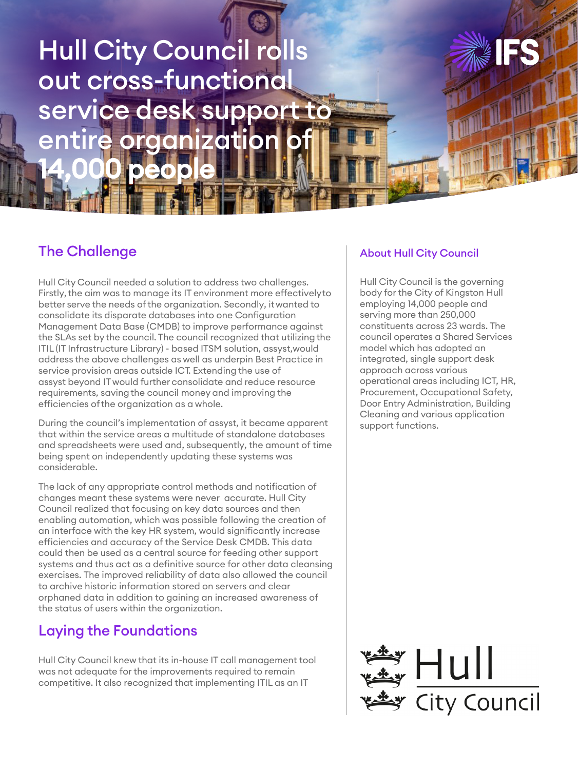# Hull City Council rolls out cross-functional service desk support to entire organization 14,000 people

# The Challenge

Hull City Council needed a solution to address two challenges. Firstly, the aim was to manage its IT environment more effectively to better serve the needs of the organization. Secondly, it wanted to consolidate its disparate databases into one Configuration Management Data Base (CMDB) to improve performance against the SLAs set by the council. The council recognized that utilizing the ITIL (IT Infrastructure Library) - based ITSM solution, assyst, would address the above challenges as well as underpin Best Practice in service provision areas outside ICT. Extending the use of assyst beyond IT would further consolidate and reduce resource requirements, saving the council money and improving the efficiencies of the organization as a whole.

During the council's implementation of assyst, it became apparent that within the service areas a multitude of standalone databases and spreadsheets were used and, subsequently, the amount of time being spent on independently updating these systems was considerable.

The lack of any appropriate control methods and notification of changes meant these systems were never accurate. Hull City Council realized that focusing on key data sources and then enabling automation, which was possible following the creation of an interface with the key HR system, would significantly increase efficiencies and accuracy of the Service Desk CMDB. This data could then be used as a central source for feeding other support systems and thus act as a definitive source for other data cleansing exercises. The improved reliability of data also allowed the council to archive historic information stored on servers and clear orphaned data in addition to gaining an increased awareness of the status of users within the organization.

## Laying the Foundations

Hull City Council knew that its in-house IT call management tool was not adequate for the improvements required to remain competitive. It also recognized that implementing ITIL as an IT

#### About Hull City Council

Hull City Council is the governing body for the City of Kingston Hull employing 14,000 people and serving more than 250,000 constituents across 23 wards. The council operates a Shared Services model which has adopted an integrated, single support desk approach across various operational areas including ICT, HR, Procurement, Occupational Safety, Door Entry Administration, Building Cleaning and various application support functions.